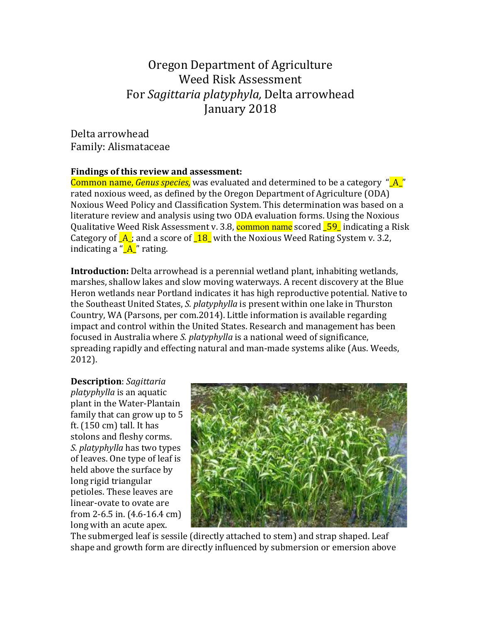# Oregon Department of Agriculture Weed Risk Assessment For *Sagittaria platyphyla*, Delta arrowhead January 2018

Delta arrowhead Family: Alismataceae

### Findings of this review and assessment:

Common name, *Genus species*, was evaluated and determined to be a category " A " rated noxious weed, as defined by the Oregon Department of Agriculture (ODA) Noxious Weed Policy and Classification System. This determination was based on a literature review and analysis using two ODA evaluation forms. Using the Noxious Qualitative Weed Risk Assessment v. 3.8, **common name** scored **59** indicating a Risk Category of  $\overline{A}$ ; and a score of  $\overline{18}$  with the Noxious Weed Rating System v. 3.2, indicating a " $A$ <sup>"</sup> rating.

**Introduction:** Delta arrowhead is a perennial wetland plant, inhabiting wetlands, marshes, shallow lakes and slow moving waterways. A recent discovery at the Blue Heron wetlands near Portland indicates it has high reproductive potential. Native to the Southeast United States, *S. platyphylla* is present within one lake in Thurston Country, WA (Parsons, per com.2014). Little information is available regarding impact and control within the United States. Research and management has been focused in Australia where *S. platyphylla* is a national weed of significance, spreading rapidly and effecting natural and man-made systems alike (Aus. Weeds, 2012). 

**Description**: *Sagittaria platyphylla* is an aquatic plant in the Water-Plantain family that can grow up to  $5$ ft.  $(150 \text{ cm})$  tall. It has stolons and fleshy corms. *S. platyphylla* has two types of leaves. One type of leaf is held above the surface by long rigid triangular petioles. These leaves are linear-ovate to ovate are from 2-6.5 in.  $(4.6-16.4 \text{ cm})$ long with an acute apex.



The submerged leaf is sessile (directly attached to stem) and strap shaped. Leaf shape and growth form are directly influenced by submersion or emersion above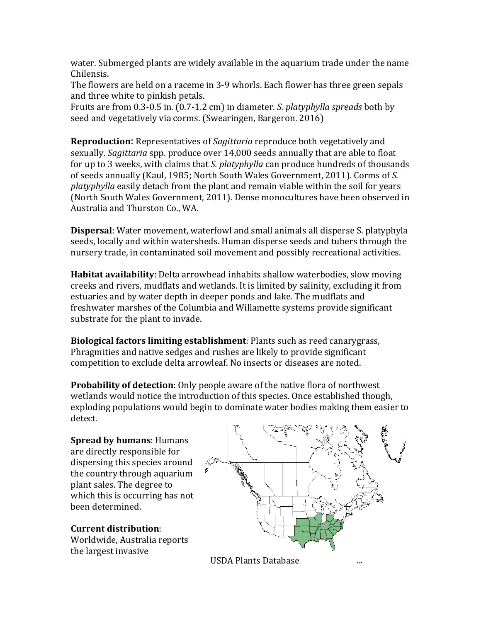water. Submerged plants are widely available in the aquarium trade under the name Chilensis.

The flowers are held on a raceme in 3-9 whorls. Each flower has three green sepals and three white to pinkish petals.

Fruits are from 0.3-0.5 in. (0.7-1.2 cm) in diameter. *S. platyphylla spreads* both by seed and vegetatively via corms. (Swearingen, Bargeron. 2016)

**Reproduction:** Representatives of *Sagittaria* reproduce both vegetatively and sexually. *Sagittaria* spp. produce over 14,000 seeds annually that are able to float for up to 3 weeks, with claims that *S. platyphylla* can produce hundreds of thousands of seeds annually (Kaul, 1985; North South Wales Government, 2011). Corms of S. *platyphylla* easily detach from the plant and remain viable within the soil for years (North South Wales Government, 2011). Dense monocultures have been observed in Australia and Thurston Co., WA.

**Dispersal**: Water movement, waterfowl and small animals all disperse S. platyphyla seeds, locally and within watersheds. Human disperse seeds and tubers through the nursery trade, in contaminated soil movement and possibly recreational activities.

**Habitat availability**: Delta arrowhead inhabits shallow waterbodies, slow moving creeks and rivers, mudflats and wetlands. It is limited by salinity, excluding it from estuaries and by water depth in deeper ponds and lake. The mudflats and freshwater marshes of the Columbia and Willamette systems provide significant substrate for the plant to invade.

**Biological factors limiting establishment**: Plants such as reed canarygrass, Phragmities and native sedges and rushes are likely to provide significant competition to exclude delta arrowleaf. No insects or diseases are noted.

**Probability of detection**: Only people aware of the native flora of northwest wetlands would notice the introduction of this species. Once established though, exploding populations would begin to dominate water bodies making them easier to detect.

**Spread by humans: Humans** are directly responsible for dispersing this species around the country through aquarium plant sales. The degree to which this is occurring has not been determined.

**Current distribution**: 

Worldwide, Australia reports the largest invasive

USDA Plants Database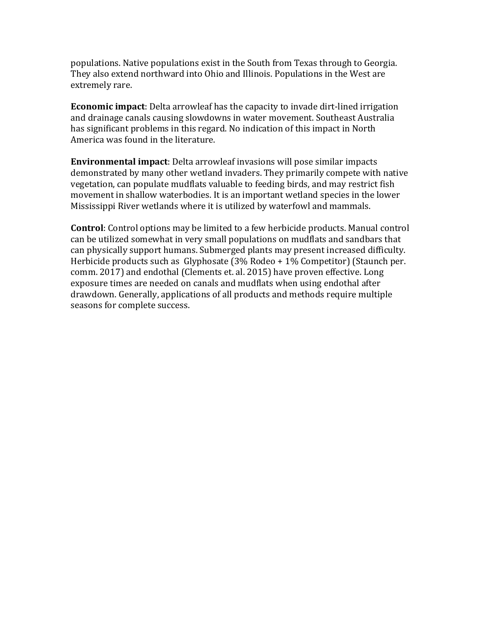populations. Native populations exist in the South from Texas through to Georgia. They also extend northward into Ohio and Illinois. Populations in the West are extremely rare.

**Economic impact**: Delta arrowleaf has the capacity to invade dirt-lined irrigation and drainage canals causing slowdowns in water movement. Southeast Australia has significant problems in this regard. No indication of this impact in North America was found in the literature.

**Environmental impact:** Delta arrowleaf invasions will pose similar impacts demonstrated by many other wetland invaders. They primarily compete with native vegetation, can populate mudflats valuable to feeding birds, and may restrict fish movement in shallow waterbodies. It is an important wetland species in the lower Mississippi River wetlands where it is utilized by waterfowl and mammals.

**Control**: Control options may be limited to a few herbicide products. Manual control can be utilized somewhat in very small populations on mudflats and sandbars that can physically support humans. Submerged plants may present increased difficulty. Herbicide products such as  $Glyphosate (3% Rodeo + 1% Competitor)$  (Staunch per. comm. 2017) and endothal (Clements et. al. 2015) have proven effective. Long exposure times are needed on canals and mudflats when using endothal after drawdown. Generally, applications of all products and methods require multiple seasons for complete success.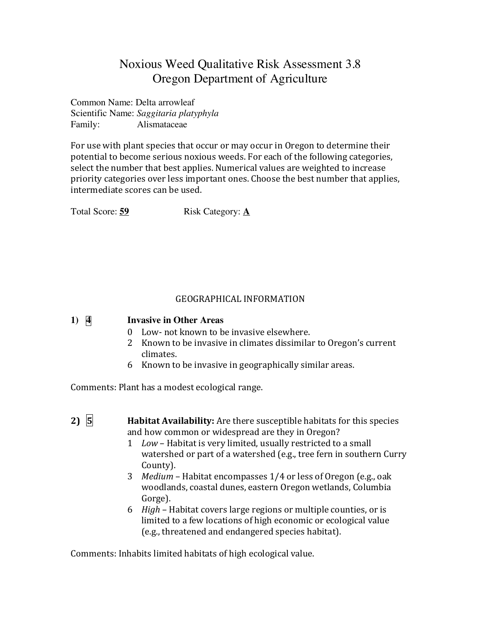# Noxious Weed Qualitative Risk Assessment 3.8 Oregon Department of Agriculture

Common Name: Delta arrowleaf Scientific Name: *Saggitaria platyphyla* Family: Alismataceae

For use with plant species that occur or may occur in Oregon to determine their potential to become serious noxious weeds. For each of the following categories, select the number that best applies. Numerical values are weighted to increase priority categories over less important ones. Choose the best number that applies, intermediate scores can be used.

Total Score: **59** Risk Category: **A** 

### GEOGRAPHICAL INFORMATION

| $1)$ $\overline{4}$ | <b>Invasive in Other Areas</b> |  |  |
|---------------------|--------------------------------|--|--|
|                     |                                |  |  |

- 0 Low- not known to be invasive elsewhere.
- 2 Known to be invasive in climates dissimilar to Oregon's current climates.
- 6 Known to be invasive in geographically similar areas.

Comments: Plant has a modest ecological range.

- **2)**  $\overline{5}$  **Habitat Availability:** Are there susceptible habitats for this species and how common or widespread are they in Oregon?
	- 1 Low Habitat is very limited, usually restricted to a small watershed or part of a watershed (e.g., tree fern in southern Curry County).
	- 3 *Medium* Habitat encompasses 1/4 or less of Oregon (e.g., oak woodlands, coastal dunes, eastern Oregon wetlands, Columbia Gorge).
	- 6 *High* Habitat covers large regions or multiple counties, or is limited to a few locations of high economic or ecological value (e.g., threatened and endangered species habitat).

Comments: Inhabits limited habitats of high ecological value.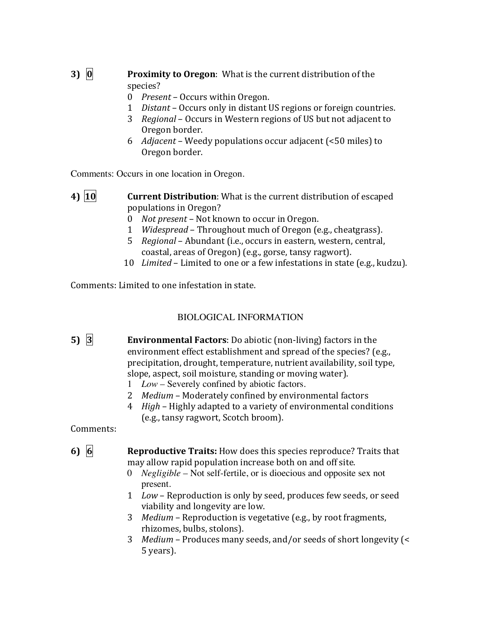## **3) 0 Proximity to Oregon**: What is the current distribution of the species?

- 0 *Present* Occurs within Oregon.
- 1 *Distant* Occurs only in distant US regions or foreign countries.
- 3 *Regional* Occurs in Western regions of US but not adjacent to Oregon border.
- 6 *Adjacent* Weedy populations occur adjacent (<50 miles) to Oregon border.

Comments: Occurs in one location in Oregon.

- **4) 10 Current Distribution**: What is the current distribution of escaped populations in Oregon?
	- 0 *Not present* Not known to occur in Oregon.
	- 1 *Widespread* Throughout much of Oregon (e.g., cheatgrass).
	- 5 *Regional* Abundant (i.e., occurs in eastern, western, central, coastal, areas of Oregon) (e.g., gorse, tansy ragwort).
	- 10 *Limited* Limited to one or a few infestations in state (e.g., kudzu).

Comments: Limited to one infestation in state.

## BIOLOGICAL INFORMATION

- **5) 3 Environmental Factors**: Do abiotic (non-living) factors in the environment effect establishment and spread of the species? (e.g., precipitation, drought, temperature, nutrient availability, soil type, slope, aspect, soil moisture, standing or moving water).
	- 1 *Low* Severely confined by abiotic factors.
	- 2 *Medium* Moderately confined by environmental factors
	- 4 *High* Highly adapted to a variety of environmental conditions (e.g., tansy ragwort, Scotch broom).

Comments: 

**6)** 6 **Reproductive Traits:** How does this species reproduce? Traits that may allow rapid population increase both on and off site.

- 0 *Negligible* Not self-fertile, or is dioecious and opposite sex not present.
- 1 Low Reproduction is only by seed, produces few seeds, or seed viability and longevity are low.
- 3 *Medium* Reproduction is vegetative (e.g., by root fragments, rhizomes, bulbs, stolons).
- 3 *Medium* Produces many seeds, and/or seeds of short longevity (< 5 years).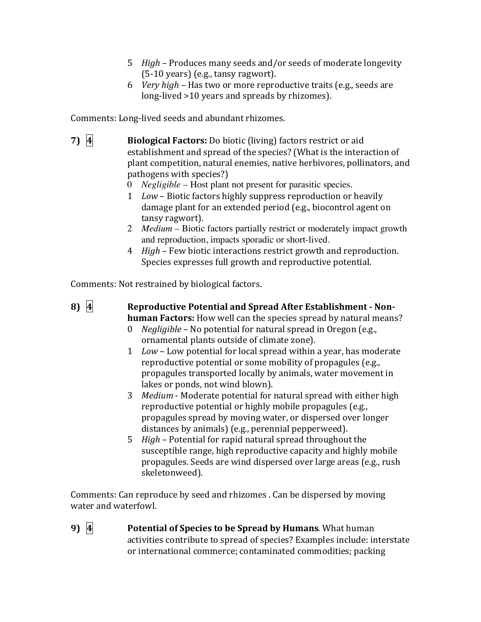- 5 *High* Produces many seeds and/or seeds of moderate longevity  $(5-10 \text{ years})$  (e.g., tansy ragwort).
- 6 *Very high* Has two or more reproductive traits (e.g., seeds are long-lived >10 years and spreads by rhizomes).

Comments: Long-lived seeds and abundant rhizomes.

- **7) 4 Biological Factors:** Do biotic (living) factors restrict or aid establishment and spread of the species? (What is the interaction of plant competition, natural enemies, native herbivores, pollinators, and pathogens with species?)
	- 0 *Negligible* Host plant not present for parasitic species.
	- 1 *Low* Biotic factors highly suppress reproduction or heavily damage plant for an extended period (e.g., biocontrol agent on tansy ragwort).
	- 2 *Medium* Biotic factors partially restrict or moderately impact growth and reproduction, impacts sporadic or short-lived.
	- 4 *High* Few biotic interactions restrict growth and reproduction. Species expresses full growth and reproductive potential.

Comments: Not restrained by biological factors.

8) 4 Reproductive Potential and Spread After Establishment - Non**human Factors:** How well can the species spread by natural means?

- 0 *Negligible* No potential for natural spread in Oregon (e.g., ornamental plants outside of climate zone).
- 1 Low Low potential for local spread within a year, has moderate reproductive potential or some mobility of propagules (e.g., propagules transported locally by animals, water movement in lakes or ponds, not wind blown).
- 3 *Medium* Moderate potential for natural spread with either high reproductive potential or highly mobile propagules (e.g., propagules spread by moving water, or dispersed over longer distances by animals) (e.g., perennial pepperweed).
- 5 *High* Potential for rapid natural spread throughout the susceptible range, high reproductive capacity and highly mobile propagules. Seeds are wind dispersed over large areas (e.g., rush skeletonweed).

Comments: Can reproduce by seed and rhizomes . Can be dispersed by moving water and waterfowl.

**9) 4 Potential of Species to be Spread by Humans**. What human activities contribute to spread of species? Examples include: interstate or international commerce; contaminated commodities; packing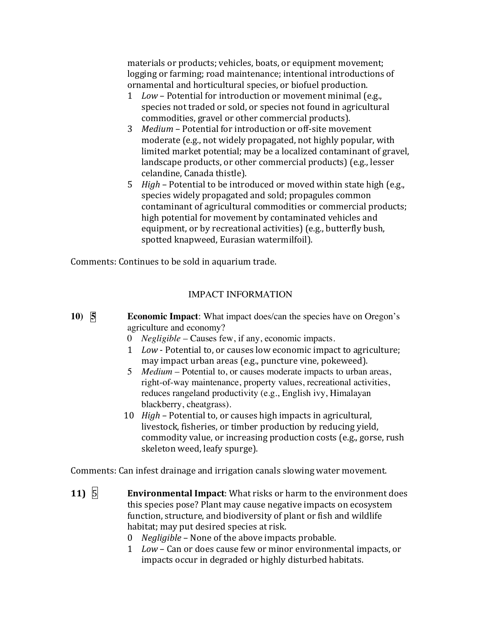materials or products; vehicles, boats, or equipment movement; logging or farming; road maintenance; intentional introductions of ornamental and horticultural species, or biofuel production.

- 1 *Low* Potential for introduction or movement minimal (e.g., species not traded or sold, or species not found in agricultural commodities, gravel or other commercial products).
- 3 *Medium* Potential for introduction or off-site movement moderate (e.g., not widely propagated, not highly popular, with limited market potential; may be a localized contaminant of gravel, landscape products, or other commercial products) (e.g., lesser celandine, Canada thistle).
- 5 *High* Potential to be introduced or moved within state high (e.g., species widely propagated and sold; propagules common contaminant of agricultural commodities or commercial products; high potential for movement by contaminated vehicles and equipment, or by recreational activities) (e.g., butterfly bush, spotted knapweed, Eurasian watermilfoil).

Comments: Continues to be sold in aquarium trade.

### IMPACT INFORMATION

- **10) 5 Economic Impact**: What impact does/can the species have on Oregon's agriculture and economy?
	- 0 *Negligible* Causes few, if any, economic impacts.
	- 1 *Low* Potential to, or causes low economic impact to agriculture; may impact urban areas (e.g., puncture vine, pokeweed).
	- 5 *Medium* Potential to, or causes moderate impacts to urban areas, right-of-way maintenance, property values, recreational activities, reduces rangeland productivity (e.g., English ivy, Himalayan blackberry, cheatgrass).
	- 10 *High* Potential to, or causes high impacts in agricultural, livestock, fisheries, or timber production by reducing yield, commodity value, or increasing production costs (e.g., gorse, rush skeleton weed, leafy spurge).

Comments: Can infest drainage and irrigation canals slowing water movement.

- **11) 5 Environmental Impact**: What risks or harm to the environment does this species pose? Plant may cause negative impacts on ecosystem function, structure, and biodiversity of plant or fish and wildlife habitat; may put desired species at risk.
	- 0 *Negligible* None of the above impacts probable.
	- 1 Low Can or does cause few or minor environmental impacts, or impacts occur in degraded or highly disturbed habitats.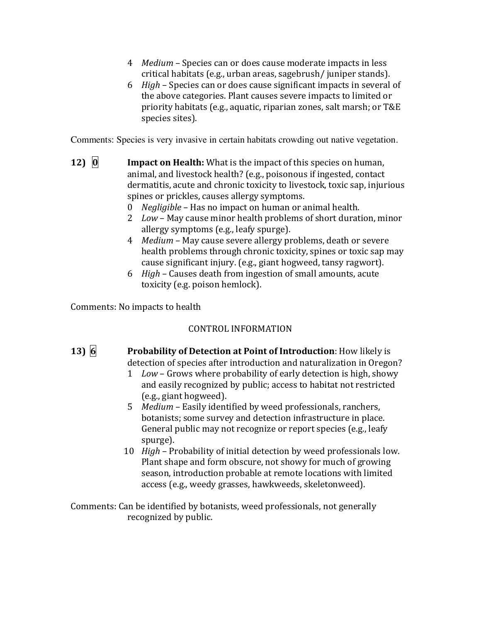- 4 *Medium* Species can or does cause moderate impacts in less critical habitats (e.g., urban areas, sagebrush/ juniper stands).
- 6 *High* Species can or does cause significant impacts in several of the above categories. Plant causes severe impacts to limited or priority habitats (e.g., aquatic, riparian zones, salt marsh; or T&E species sites).

Comments: Species is very invasive in certain habitats crowding out native vegetation.

- **12) 0 Impact on Health:** What is the impact of this species on human, animal, and livestock health? (e.g., poisonous if ingested, contact dermatitis, acute and chronic toxicity to livestock, toxic sap, injurious spines or prickles, causes allergy symptoms.
	- 0 *Negligible* Has no impact on human or animal health.
	- 2 *Low* May cause minor health problems of short duration, minor allergy symptoms (e.g., leafy spurge).
	- 4 *Medium* May cause severe allergy problems, death or severe health problems through chronic toxicity, spines or toxic sap may cause significant injury. (e.g., giant hogweed, tansy ragwort).
	- 6 *High* Causes death from ingestion of small amounts, acute toxicity (e.g. poison hemlock).

Comments: No impacts to health

### CONTROL INFORMATION

**13) 6 Probability of Detection at Point of Introduction**: How likely is detection of species after introduction and naturalization in Oregon?

- 1 Low Grows where probability of early detection is high, showy and easily recognized by public; access to habitat not restricted (e.g., giant hogweed).
- 5 *Medium* Easily identified by weed professionals, ranchers, botanists; some survey and detection infrastructure in place. General public may not recognize or report species (e.g., leafy spurge).
- 10 *High* Probability of initial detection by weed professionals low. Plant shape and form obscure, not showy for much of growing season, introduction probable at remote locations with limited access (e.g., weedy grasses, hawkweeds, skeletonweed).

Comments: Can be identified by botanists, weed professionals, not generally recognized by public.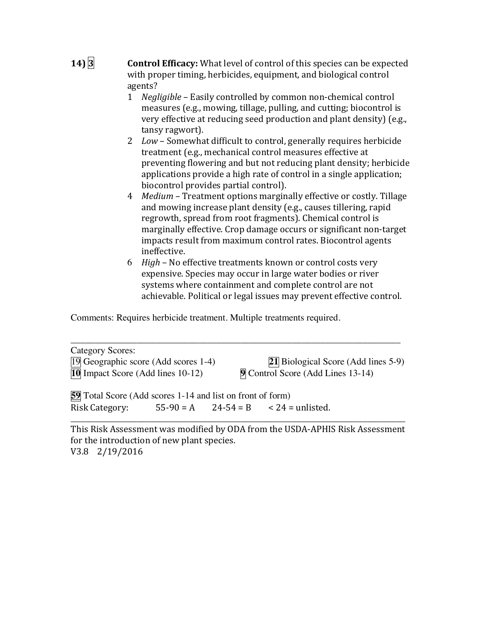- **14) 3 Control Efficacy:** What level of control of this species can be expected with proper timing, herbicides, equipment, and biological control agents?
	- 1 *Negligible* Easily controlled by common non-chemical control measures (e.g., mowing, tillage, pulling, and cutting; biocontrol is very effective at reducing seed production and plant density) (e.g., tansy ragwort).
	- 2 *Low* Somewhat difficult to control, generally requires herbicide treatment (e.g., mechanical control measures effective at preventing flowering and but not reducing plant density; herbicide applications provide a high rate of control in a single application; biocontrol provides partial control).
	- 4 *Medium* Treatment options marginally effective or costly. Tillage and mowing increase plant density (e.g., causes tillering, rapid regrowth, spread from root fragments). Chemical control is marginally effective. Crop damage occurs or significant non-target impacts result from maximum control rates. Biocontrol agents ineffective.
	- 6 *High* No effective treatments known or control costs very expensive. Species may occur in large water bodies or river systems where containment and complete control are not achievable. Political or legal issues may prevent effective control.

Comments: Requires herbicide treatment. Multiple treatments required.

| Category Scores:                                                  |  |                                            |
|-------------------------------------------------------------------|--|--------------------------------------------|
| <sup>[19]</sup> Geographic score (Add scores 1-4)                 |  | <b>21</b> Biological Score (Add lines 5-9) |
| <b>10</b> Impact Score (Add lines 10-12)                          |  | 9 Control Score (Add Lines 13-14)          |
| <b>59</b> Total Score (Add scores 1-14 and list on front of form) |  |                                            |
| <b>Risk Category:</b>                                             |  | $55-90 = A$ $24-54 = B$ $< 24 =$ unlisted. |

This Risk Assessment was modified by ODA from the USDA-APHIS Risk Assessment for the introduction of new plant species. V3.8 2/19/2016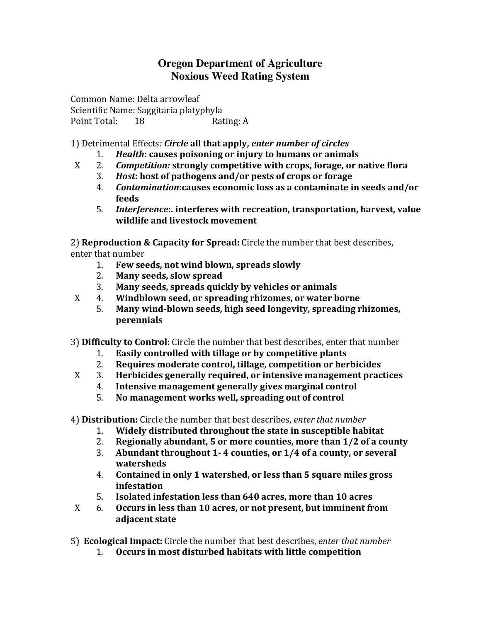## **Oregon Department of Agriculture Noxious Weed Rating System**

Common Name: Delta arrowleaf Scientific Name: Saggitaria platyphyla Point Total: 18 Rating: A

1) Detrimental Effects*: Circle* **all that apply,** *enter number of circles*

- 1. *Health*: causes poisoning or injury to humans or animals
- X 2. *Competition:* **strongly competitive with crops, forage, or native flora**
	- 3. *Host*: host of pathogens and/or pests of crops or forage
	- 4. Contamination: causes economic loss as a contaminate in seeds and/or **feeds**
	- 5. *Interference*: interferes with recreation, transportation, harvest, value **wildlife and livestock movement**

2) **Reproduction & Capacity for Spread:** Circle the number that best describes, enter that number

- 1. Few seeds, not wind blown, spreads slowly
- 2. Many seeds, slow spread
- 3. Many seeds, spreads quickly by vehicles or animals
- X 4. **Windblown seed, or spreading rhizomes, or water borne** 
	- 5. Many wind-blown seeds, high seed longevity, spreading rhizomes, **perennials**
- 3) **Difficulty to Control:** Circle the number that best describes, enter that number
	- 1. **Easily controlled with tillage or by competitive plants**
	- 2. **Requires moderate control, tillage, competition or herbicides**
- X 3. **Herbicides generally required, or intensive management practices** 
	- 4. **Intensive management generally gives marginal control**
	- 5. **No management works well, spreading out of control**

4) **Distribution:** Circle the number that best describes, *enter that number*

- 1. Widely distributed throughout the state in susceptible habitat
- 2. **Regionally abundant, 5 or more counties, more than 1/2 of a county**
- 3. Abundant throughout 1-4 counties, or  $1/4$  of a county, or several **watersheds**
- 4. Contained in only 1 watershed, or less than 5 square miles gross **infestation**
- 5. **Isolated infestation less than 640 acres, more than 10 acres**
- X 6. **Occurs in less than 10 acres, or not present, but imminent from adjacent state**
- 5) **Ecological Impact:** Circle the number that best describes, *enter that number* 
	- 1. Occurs in most disturbed habitats with little competition